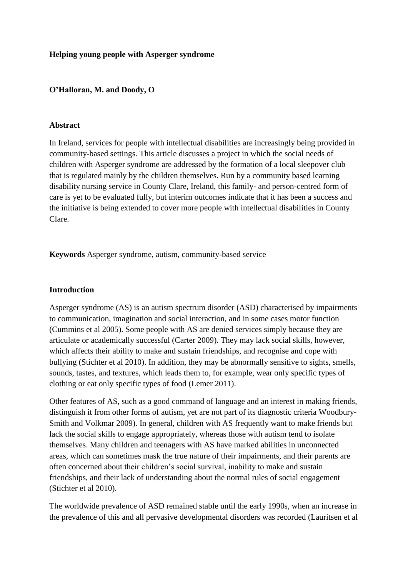### **Helping young people with Asperger syndrome**

### **O'Halloran, M. and Doody, O**

#### **Abstract**

In Ireland, services for people with intellectual disabilities are increasingly being provided in community-based settings. This article discusses a project in which the social needs of children with Asperger syndrome are addressed by the formation of a local sleepover club that is regulated mainly by the children themselves. Run by a community based learning disability nursing service in County Clare, Ireland, this family- and person-centred form of care is yet to be evaluated fully, but interim outcomes indicate that it has been a success and the initiative is being extended to cover more people with intellectual disabilities in County Clare.

**Keywords** Asperger syndrome, autism, community-based service

### **Introduction**

Asperger syndrome (AS) is an autism spectrum disorder (ASD) characterised by impairments to communication, imagination and social interaction, and in some cases motor function (Cummins et al 2005). Some people with AS are denied services simply because they are articulate or academically successful (Carter 2009). They may lack social skills, however, which affects their ability to make and sustain friendships, and recognise and cope with bullying (Stichter et al 2010). In addition, they may be abnormally sensitive to sights, smells, sounds, tastes, and textures, which leads them to, for example, wear only specific types of clothing or eat only specific types of food (Lemer 2011).

Other features of AS, such as a good command of language and an interest in making friends, distinguish it from other forms of autism, yet are not part of its diagnostic criteria Woodbury-Smith and Volkmar 2009). In general, children with AS frequently want to make friends but lack the social skills to engage appropriately, whereas those with autism tend to isolate themselves. Many children and teenagers with AS have marked abilities in unconnected areas, which can sometimes mask the true nature of their impairments, and their parents are often concerned about their children's social survival, inability to make and sustain friendships, and their lack of understanding about the normal rules of social engagement (Stichter et al 2010).

The worldwide prevalence of ASD remained stable until the early 1990s, when an increase in the prevalence of this and all pervasive developmental disorders was recorded (Lauritsen et al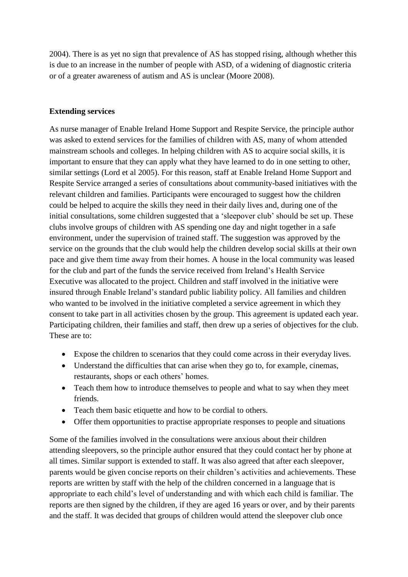2004). There is as yet no sign that prevalence of AS has stopped rising, although whether this is due to an increase in the number of people with ASD, of a widening of diagnostic criteria or of a greater awareness of autism and AS is unclear (Moore 2008).

# **Extending services**

As nurse manager of Enable Ireland Home Support and Respite Service, the principle author was asked to extend services for the families of children with AS, many of whom attended mainstream schools and colleges. In helping children with AS to acquire social skills, it is important to ensure that they can apply what they have learned to do in one setting to other, similar settings (Lord et al 2005). For this reason, staff at Enable Ireland Home Support and Respite Service arranged a series of consultations about community-based initiatives with the relevant children and families. Participants were encouraged to suggest how the children could be helped to acquire the skills they need in their daily lives and, during one of the initial consultations, some children suggested that a 'sleepover club' should be set up. These clubs involve groups of children with AS spending one day and night together in a safe environment, under the supervision of trained staff. The suggestion was approved by the service on the grounds that the club would help the children develop social skills at their own pace and give them time away from their homes. A house in the local community was leased for the club and part of the funds the service received from Ireland's Health Service Executive was allocated to the project. Children and staff involved in the initiative were insured through Enable Ireland's standard public liability policy. All families and children who wanted to be involved in the initiative completed a service agreement in which they consent to take part in all activities chosen by the group. This agreement is updated each year. Participating children, their families and staff, then drew up a series of objectives for the club. These are to:

- Expose the children to scenarios that they could come across in their everyday lives.
- Understand the difficulties that can arise when they go to, for example, cinemas, restaurants, shops or each others' homes.
- Teach them how to introduce themselves to people and what to say when they meet friends.
- Teach them basic etiquette and how to be cordial to others.
- Offer them opportunities to practise appropriate responses to people and situations

Some of the families involved in the consultations were anxious about their children attending sleepovers, so the principle author ensured that they could contact her by phone at all times. Similar support is extended to staff. It was also agreed that after each sleepover, parents would be given concise reports on their children's activities and achievements. These reports are written by staff with the help of the children concerned in a language that is appropriate to each child's level of understanding and with which each child is familiar. The reports are then signed by the children, if they are aged 16 years or over, and by their parents and the staff. It was decided that groups of children would attend the sleepover club once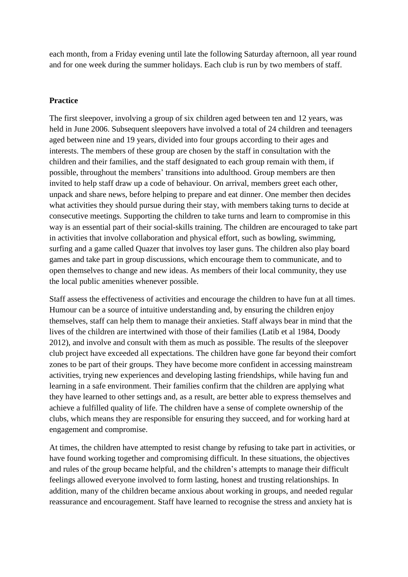each month, from a Friday evening until late the following Saturday afternoon, all year round and for one week during the summer holidays. Each club is run by two members of staff.

## **Practice**

The first sleepover, involving a group of six children aged between ten and 12 years, was held in June 2006. Subsequent sleepovers have involved a total of 24 children and teenagers aged between nine and 19 years, divided into four groups according to their ages and interests. The members of these group are chosen by the staff in consultation with the children and their families, and the staff designated to each group remain with them, if possible, throughout the members' transitions into adulthood. Group members are then invited to help staff draw up a code of behaviour. On arrival, members greet each other, unpack and share news, before helping to prepare and eat dinner. One member then decides what activities they should pursue during their stay, with members taking turns to decide at consecutive meetings. Supporting the children to take turns and learn to compromise in this way is an essential part of their social-skills training. The children are encouraged to take part in activities that involve collaboration and physical effort, such as bowling, swimming, surfing and a game called Quazer that involves toy laser guns. The children also play board games and take part in group discussions, which encourage them to communicate, and to open themselves to change and new ideas. As members of their local community, they use the local public amenities whenever possible.

Staff assess the effectiveness of activities and encourage the children to have fun at all times. Humour can be a source of intuitive understanding and, by ensuring the children enjoy themselves, staff can help them to manage their anxieties. Staff always bear in mind that the lives of the children are intertwined with those of their families (Latib et al 1984, Doody 2012), and involve and consult with them as much as possible. The results of the sleepover club project have exceeded all expectations. The children have gone far beyond their comfort zones to be part of their groups. They have become more confident in accessing mainstream activities, trying new experiences and developing lasting friendships, while having fun and learning in a safe environment. Their families confirm that the children are applying what they have learned to other settings and, as a result, are better able to express themselves and achieve a fulfilled quality of life. The children have a sense of complete ownership of the clubs, which means they are responsible for ensuring they succeed, and for working hard at engagement and compromise.

At times, the children have attempted to resist change by refusing to take part in activities, or have found working together and compromising difficult. In these situations, the objectives and rules of the group became helpful, and the children's attempts to manage their difficult feelings allowed everyone involved to form lasting, honest and trusting relationships. In addition, many of the children became anxious about working in groups, and needed regular reassurance and encouragement. Staff have learned to recognise the stress and anxiety hat is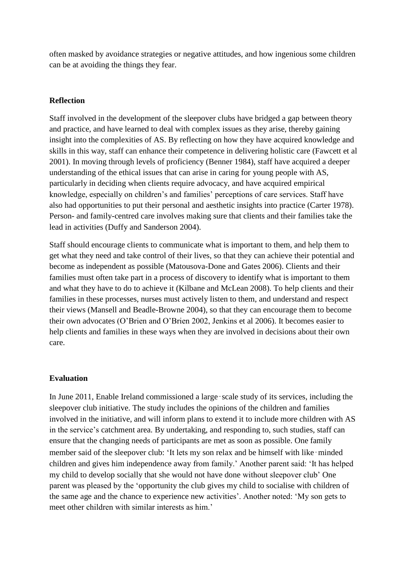often masked by avoidance strategies or negative attitudes, and how ingenious some children can be at avoiding the things they fear.

## **Reflection**

Staff involved in the development of the sleepover clubs have bridged a gap between theory and practice, and have learned to deal with complex issues as they arise, thereby gaining insight into the complexities of AS. By reflecting on how they have acquired knowledge and skills in this way, staff can enhance their competence in delivering holistic care (Fawcett et al 2001). In moving through levels of proficiency (Benner 1984), staff have acquired a deeper understanding of the ethical issues that can arise in caring for young people with AS, particularly in deciding when clients require advocacy, and have acquired empirical knowledge, especially on children's and families' perceptions of care services. Staff have also had opportunities to put their personal and aesthetic insights into practice (Carter 1978). Person- and family-centred care involves making sure that clients and their families take the lead in activities (Duffy and Sanderson 2004).

Staff should encourage clients to communicate what is important to them, and help them to get what they need and take control of their lives, so that they can achieve their potential and become as independent as possible (Matousova-Done and Gates 2006). Clients and their families must often take part in a process of discovery to identify what is important to them and what they have to do to achieve it (Kilbane and McLean 2008). To help clients and their families in these processes, nurses must actively listen to them, and understand and respect their views (Mansell and Beadle-Browne 2004), so that they can encourage them to become their own advocates (O'Brien and O'Brien 2002, Jenkins et al 2006). It becomes easier to help clients and families in these ways when they are involved in decisions about their own care.

#### **Evaluation**

In June 2011, Enable Ireland commissioned a large‑scale study of its services, including the sleepover club initiative. The study includes the opinions of the children and families involved in the initiative, and will inform plans to extend it to include more children with AS in the service's catchment area. By undertaking, and responding to, such studies, staff can ensure that the changing needs of participants are met as soon as possible. One family member said of the sleepover club: 'It lets my son relax and be himself with like–minded children and gives him independence away from family.' Another parent said: 'It has helped my child to develop socially that she would not have done without sleepover club' One parent was pleased by the 'opportunity the club gives my child to socialise with children of the same age and the chance to experience new activities'. Another noted: 'My son gets to meet other children with similar interests as him.'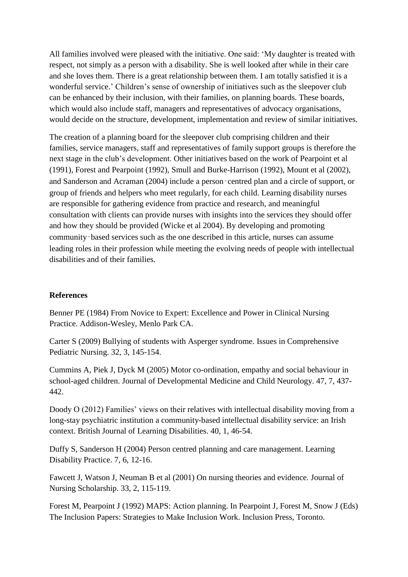All families involved were pleased with the initiative. One said: 'My daughter is treated with respect, not simply as a person with a disability. She is well looked after while in their care and she loves them. There is a great relationship between them. I am totally satisfied it is a wonderful service.' Children's sense of ownership of initiatives such as the sleepover club can be enhanced by their inclusion, with their families, on planning boards. These boards, which would also include staff, managers and representatives of advocacy organisations, would decide on the structure, development, implementation and review of similar initiatives.

The creation of a planning board for the sleepover club comprising children and their families, service managers, staff and representatives of family support groups is therefore the next stage in the club's development. Other initiatives based on the work of Pearpoint et al (1991), Forest and Pearpoint (1992), Smull and Burke-Harrison (1992), Mount et al (2002), and Sanderson and Acraman (2004) include a person‑centred plan and a circle of support, or group of friends and helpers who meet regularly, for each child. Learning disability nurses are responsible for gathering evidence from practice and research, and meaningful consultation with clients can provide nurses with insights into the services they should offer and how they should be provided (Wicke et al 2004). By developing and promoting community‑based services such as the one described in this article, nurses can assume leading roles in their profession while meeting the evolving needs of people with intellectual disabilities and of their families.

# **References**

Benner PE (1984) From Novice to Expert: Excellence and Power in Clinical Nursing Practice. Addison-Wesley, Menlo Park CA.

Carter S (2009) Bullying of students with Asperger syndrome. Issues in Comprehensive Pediatric Nursing. 32, 3, 145-154.

Cummins A, Piek J, Dyck M (2005) Motor co-ordination, empathy and social behaviour in school-aged children. Journal of Developmental Medicine and Child Neurology. 47, 7, 437- 442.

Doody O (2012) Families' views on their relatives with intellectual disability moving from a long-stay psychiatric institution a community-based intellectual disability service: an Irish context. British Journal of Learning Disabilities. 40, 1, 46-54.

Duffy S, Sanderson H (2004) Person centred planning and care management. Learning Disability Practice. 7, 6, 12-16.

Fawcett J, Watson J, Neuman B et al (2001) On nursing theories and evidence. Journal of Nursing Scholarship. 33, 2, 115-119.

Forest M, Pearpoint J (1992) MAPS: Action planning. In Pearpoint J, Forest M, Snow J (Eds) The Inclusion Papers: Strategies to Make Inclusion Work. Inclusion Press, Toronto.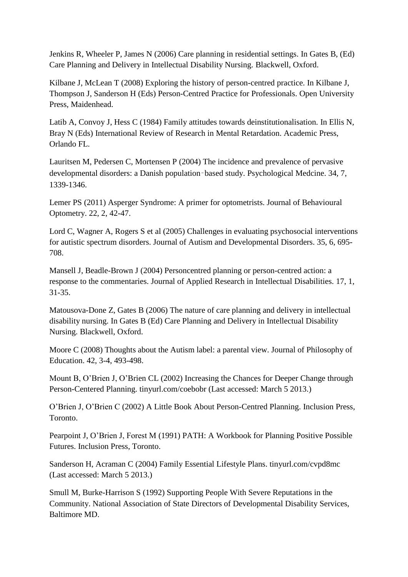Jenkins R, Wheeler P, James N (2006) Care planning in residential settings. In Gates B, (Ed) Care Planning and Delivery in Intellectual Disability Nursing. Blackwell, Oxford.

Kilbane J, McLean T (2008) Exploring the history of person-centred practice. In Kilbane J, Thompson J, Sanderson H (Eds) Person-Centred Practice for Professionals. Open University Press, Maidenhead.

Latib A, Convoy J, Hess C (1984) Family attitudes towards deinstitutionalisation. In Ellis N, Bray N (Eds) International Review of Research in Mental Retardation. Academic Press, Orlando FL.

Lauritsen M, Pedersen C, Mortensen P (2004) The incidence and prevalence of pervasive developmental disorders: a Danish population‑based study. Psychological Medcine. 34, 7, 1339-1346.

Lemer PS (2011) Asperger Syndrome: A primer for optometrists. Journal of Behavioural Optometry. 22, 2, 42-47.

Lord C, Wagner A, Rogers S et al (2005) Challenges in evaluating psychosocial interventions for autistic spectrum disorders. Journal of Autism and Developmental Disorders. 35, 6, 695- 708.

Mansell J, Beadle-Brown J (2004) Personcentred planning or person-centred action: a response to the commentaries. Journal of Applied Research in Intellectual Disabilities. 17, 1, 31-35.

Matousova-Done Z, Gates B (2006) The nature of care planning and delivery in intellectual disability nursing. In Gates B (Ed) Care Planning and Delivery in Intellectual Disability Nursing. Blackwell, Oxford.

Moore C (2008) Thoughts about the Autism label: a parental view. Journal of Philosophy of Education. 42, 3-4, 493-498.

Mount B, O'Brien J, O'Brien CL (2002) Increasing the Chances for Deeper Change through Person-Centered Planning. tinyurl.com/coebobr (Last accessed: March 5 2013.)

O'Brien J, O'Brien C (2002) A Little Book About Person-Centred Planning. Inclusion Press, Toronto.

Pearpoint J, O'Brien J, Forest M (1991) PATH: A Workbook for Planning Positive Possible Futures. Inclusion Press, Toronto.

Sanderson H, Acraman C (2004) Family Essential Lifestyle Plans. tinyurl.com/cvpd8mc (Last accessed: March 5 2013.)

Smull M, Burke-Harrison S (1992) Supporting People With Severe Reputations in the Community. National Association of State Directors of Developmental Disability Services, Baltimore MD.